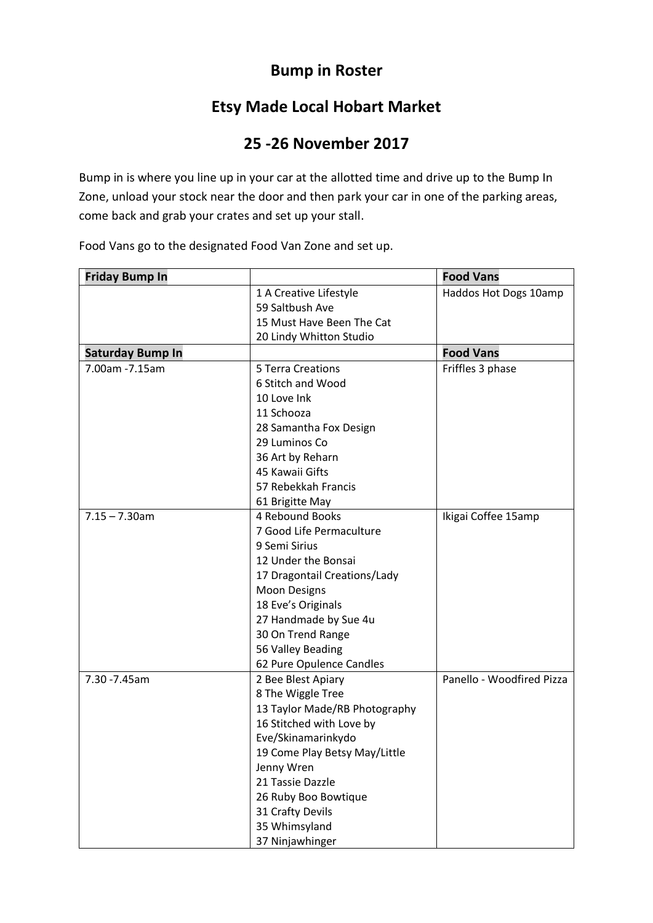## **Bump in Roster**

## **Etsy Made Local Hobart Market**

## **25 -26 November 2017**

Bump in is where you line up in your car at the allotted time and drive up to the Bump In Zone, unload your stock near the door and then park your car in one of the parking areas, come back and grab your crates and set up your stall.

| <b>Friday Bump In</b>   |                               | <b>Food Vans</b>          |
|-------------------------|-------------------------------|---------------------------|
|                         | 1 A Creative Lifestyle        | Haddos Hot Dogs 10amp     |
|                         | 59 Saltbush Ave               |                           |
|                         | 15 Must Have Been The Cat     |                           |
|                         | 20 Lindy Whitton Studio       |                           |
| <b>Saturday Bump In</b> |                               | <b>Food Vans</b>          |
| 7.00am - 7.15am         | 5 Terra Creations             | Friffles 3 phase          |
|                         | 6 Stitch and Wood             |                           |
|                         | 10 Love Ink                   |                           |
|                         | 11 Schooza                    |                           |
|                         | 28 Samantha Fox Design        |                           |
|                         | 29 Luminos Co                 |                           |
|                         | 36 Art by Reharn              |                           |
|                         | 45 Kawaii Gifts               |                           |
|                         | 57 Rebekkah Francis           |                           |
|                         | 61 Brigitte May               |                           |
| $7.15 - 7.30$ am        | 4 Rebound Books               | Ikigai Coffee 15amp       |
|                         | 7 Good Life Permaculture      |                           |
|                         | 9 Semi Sirius                 |                           |
|                         | 12 Under the Bonsai           |                           |
|                         | 17 Dragontail Creations/Lady  |                           |
|                         | <b>Moon Designs</b>           |                           |
|                         | 18 Eve's Originals            |                           |
|                         | 27 Handmade by Sue 4u         |                           |
|                         | 30 On Trend Range             |                           |
|                         | 56 Valley Beading             |                           |
|                         | 62 Pure Opulence Candles      |                           |
| 7.30 - 7.45am           | 2 Bee Blest Apiary            | Panello - Woodfired Pizza |
|                         | 8 The Wiggle Tree             |                           |
|                         | 13 Taylor Made/RB Photography |                           |
|                         | 16 Stitched with Love by      |                           |
|                         | Eve/Skinamarinkydo            |                           |
|                         | 19 Come Play Betsy May/Little |                           |
|                         | Jenny Wren                    |                           |
|                         | 21 Tassie Dazzle              |                           |
|                         | 26 Ruby Boo Bowtique          |                           |
|                         | 31 Crafty Devils              |                           |
|                         | 35 Whimsyland                 |                           |
|                         | 37 Ninjawhinger               |                           |

Food Vans go to the designated Food Van Zone and set up.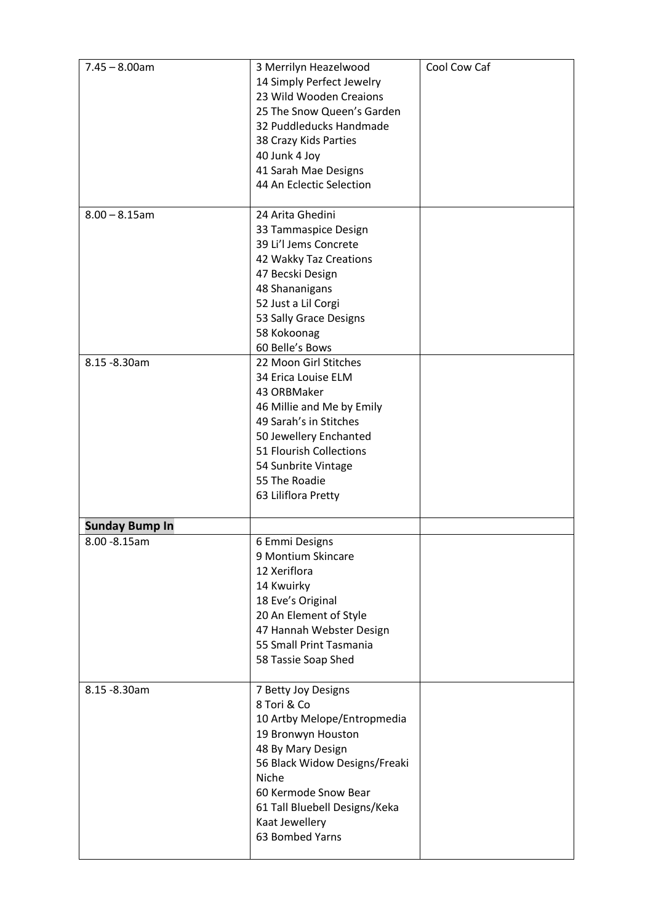| $7.45 - 8.00$ am      | 3 Merrilyn Heazelwood<br>14 Simply Perfect Jewelry<br>23 Wild Wooden Creaions<br>25 The Snow Queen's Garden<br>32 Puddleducks Handmade<br>38 Crazy Kids Parties<br>40 Junk 4 Joy<br>41 Sarah Mae Designs<br>44 An Eclectic Selection                 | Cool Cow Caf |
|-----------------------|------------------------------------------------------------------------------------------------------------------------------------------------------------------------------------------------------------------------------------------------------|--------------|
| $8.00 - 8.15$ am      | 24 Arita Ghedini<br>33 Tammaspice Design<br>39 Li'l Jems Concrete<br>42 Wakky Taz Creations<br>47 Becski Design<br>48 Shananigans<br>52 Just a Lil Corgi<br>53 Sally Grace Designs<br>58 Kokoonag<br>60 Belle's Bows                                 |              |
| 8.15 - 8.30 am        | 22 Moon Girl Stitches<br>34 Erica Louise ELM<br>43 ORBMaker<br>46 Millie and Me by Emily<br>49 Sarah's in Stitches<br>50 Jewellery Enchanted<br>51 Flourish Collections<br>54 Sunbrite Vintage<br>55 The Roadie<br>63 Liliflora Pretty               |              |
| <b>Sunday Bump In</b> |                                                                                                                                                                                                                                                      |              |
| 8.00 - 8.15 am        | 6 Emmi Designs<br>9 Montium Skincare<br>12 Xeriflora<br>14 Kwuirky<br>18 Eve's Original<br>20 An Element of Style<br>47 Hannah Webster Design<br>55 Small Print Tasmania<br>58 Tassie Soap Shed                                                      |              |
| 8.15 - 8.30 am        | 7 Betty Joy Designs<br>8 Tori & Co<br>10 Artby Melope/Entropmedia<br>19 Bronwyn Houston<br>48 By Mary Design<br>56 Black Widow Designs/Freaki<br>Niche<br>60 Kermode Snow Bear<br>61 Tall Bluebell Designs/Keka<br>Kaat Jewellery<br>63 Bombed Yarns |              |